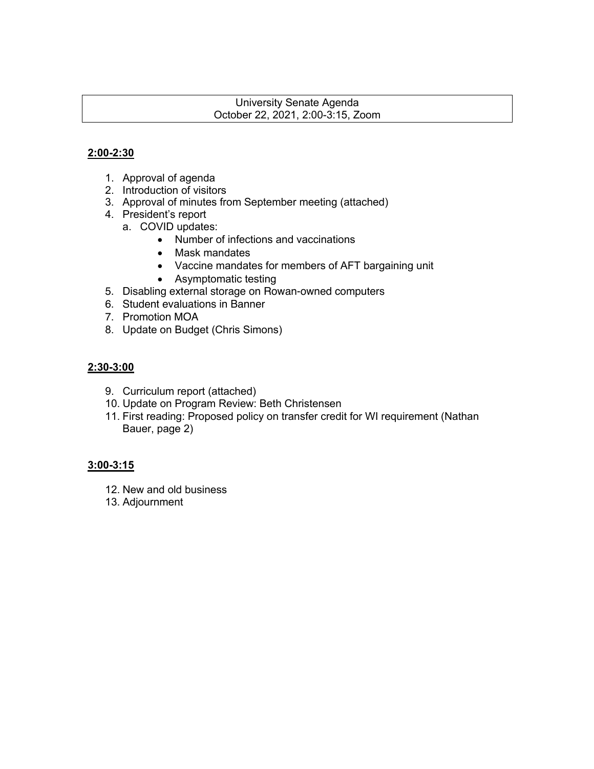#### University Senate Agenda October 22, 2021, 2:00-3:15, Zoom

## **2:00-2:30**

- 1. Approval of agenda
- 2. Introduction of visitors
- 3. Approval of minutes from September meeting (attached)
- 4. President's report
	- a. COVID updates:
		- Number of infections and vaccinations
		- Mask mandates
		- Vaccine mandates for members of AFT bargaining unit
		- Asymptomatic testing
- 5. Disabling external storage on Rowan-owned computers
- 6. Student evaluations in Banner
- 7. Promotion MOA
- 8. Update on Budget (Chris Simons)

## **2:30-3:00**

- 9. Curriculum report (attached)
- 10. Update on Program Review: Beth Christensen
- 11. First reading: Proposed policy on transfer credit for WI requirement (Nathan Bauer, page 2)

#### **3:00-3:15**

- 12. New and old business
- 13. Adjournment